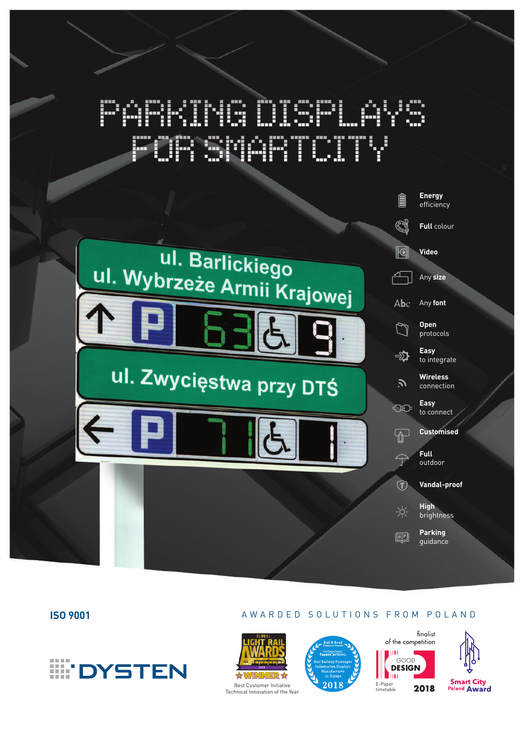# MG D **CONTRACT** FORSKARTOITY





## **ISO 9001** A W A R D E D S O L U T I O N S F R O M P O L A N D









2018